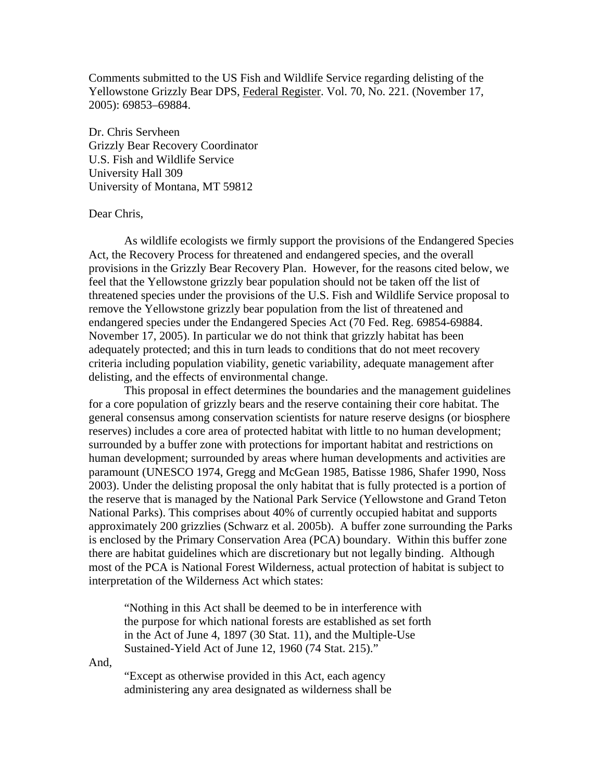Comments submitted to the US Fish and Wildlife Service regarding delisting of the Yellowstone Grizzly Bear DPS, Federal Register. Vol. 70, No. 221. (November 17, 2005): 69853–69884.

Dr. Chris Servheen Grizzly Bear Recovery Coordinator U.S. Fish and Wildlife Service University Hall 309 University of Montana, MT 59812

### Dear Chris,

 As wildlife ecologists we firmly support the provisions of the Endangered Species Act, the Recovery Process for threatened and endangered species, and the overall provisions in the Grizzly Bear Recovery Plan. However, for the reasons cited below, we feel that the Yellowstone grizzly bear population should not be taken off the list of threatened species under the provisions of the U.S. Fish and Wildlife Service proposal to remove the Yellowstone grizzly bear population from the list of threatened and endangered species under the Endangered Species Act (70 Fed. Reg. 69854-69884. November 17, 2005). In particular we do not think that grizzly habitat has been adequately protected; and this in turn leads to conditions that do not meet recovery criteria including population viability, genetic variability, adequate management after delisting, and the effects of environmental change.

This proposal in effect determines the boundaries and the management guidelines for a core population of grizzly bears and the reserve containing their core habitat. The general consensus among conservation scientists for nature reserve designs (or biosphere reserves) includes a core area of protected habitat with little to no human development; surrounded by a buffer zone with protections for important habitat and restrictions on human development; surrounded by areas where human developments and activities are paramount (UNESCO 1974, Gregg and McGean 1985, Batisse 1986, Shafer 1990, Noss 2003). Under the delisting proposal the only habitat that is fully protected is a portion of the reserve that is managed by the National Park Service (Yellowstone and Grand Teton National Parks). This comprises about 40% of currently occupied habitat and supports approximately 200 grizzlies (Schwarz et al. 2005b). A buffer zone surrounding the Parks is enclosed by the Primary Conservation Area (PCA) boundary. Within this buffer zone there are habitat guidelines which are discretionary but not legally binding. Although most of the PCA is National Forest Wilderness, actual protection of habitat is subject to interpretation of the Wilderness Act which states:

"Nothing in this Act shall be deemed to be in interference with the purpose for which national forests are established as set forth in the Act of June 4, 1897 (30 Stat. 11), and the Multiple-Use Sustained-Yield Act of June 12, 1960 (74 Stat. 215)."

And,

"Except as otherwise provided in this Act, each agency administering any area designated as wilderness shall be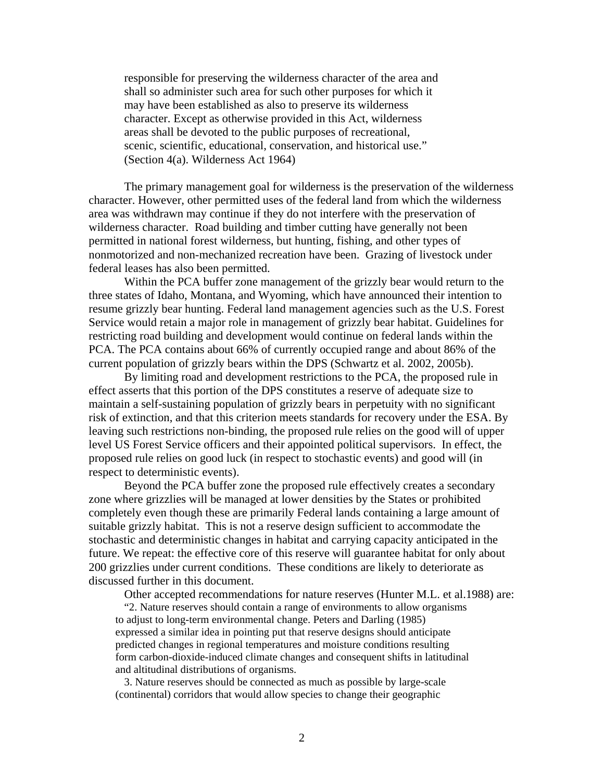responsible for preserving the wilderness character of the area and shall so administer such area for such other purposes for which it may have been established as also to preserve its wilderness character. Except as otherwise provided in this Act, wilderness areas shall be devoted to the public purposes of recreational, scenic, scientific, educational, conservation, and historical use." (Section 4(a). Wilderness Act 1964)

The primary management goal for wilderness is the preservation of the wilderness character. However, other permitted uses of the federal land from which the wilderness area was withdrawn may continue if they do not interfere with the preservation of wilderness character. Road building and timber cutting have generally not been permitted in national forest wilderness, but hunting, fishing, and other types of nonmotorized and non-mechanized recreation have been. Grazing of livestock under federal leases has also been permitted.

Within the PCA buffer zone management of the grizzly bear would return to the three states of Idaho, Montana, and Wyoming, which have announced their intention to resume grizzly bear hunting. Federal land management agencies such as the U.S. Forest Service would retain a major role in management of grizzly bear habitat. Guidelines for restricting road building and development would continue on federal lands within the PCA. The PCA contains about 66% of currently occupied range and about 86% of the current population of grizzly bears within the DPS (Schwartz et al. 2002, 2005b).

By limiting road and development restrictions to the PCA, the proposed rule in effect asserts that this portion of the DPS constitutes a reserve of adequate size to maintain a self-sustaining population of grizzly bears in perpetuity with no significant risk of extinction, and that this criterion meets standards for recovery under the ESA. By leaving such restrictions non-binding, the proposed rule relies on the good will of upper level US Forest Service officers and their appointed political supervisors. In effect, the proposed rule relies on good luck (in respect to stochastic events) and good will (in respect to deterministic events).

Beyond the PCA buffer zone the proposed rule effectively creates a secondary zone where grizzlies will be managed at lower densities by the States or prohibited completely even though these are primarily Federal lands containing a large amount of suitable grizzly habitat. This is not a reserve design sufficient to accommodate the stochastic and deterministic changes in habitat and carrying capacity anticipated in the future. We repeat: the effective core of this reserve will guarantee habitat for only about 200 grizzlies under current conditions. These conditions are likely to deteriorate as discussed further in this document.

Other accepted recommendations for nature reserves (Hunter M.L. et al.1988) are:

"2. Nature reserves should contain a range of environments to allow organisms to adjust to long-term environmental change. Peters and Darling (1985) expressed a similar idea in pointing put that reserve designs should anticipate predicted changes in regional temperatures and moisture conditions resulting form carbon-dioxide-induced climate changes and consequent shifts in latitudinal and altitudinal distributions of organisms.

3. Nature reserves should be connected as much as possible by large-scale (continental) corridors that would allow species to change their geographic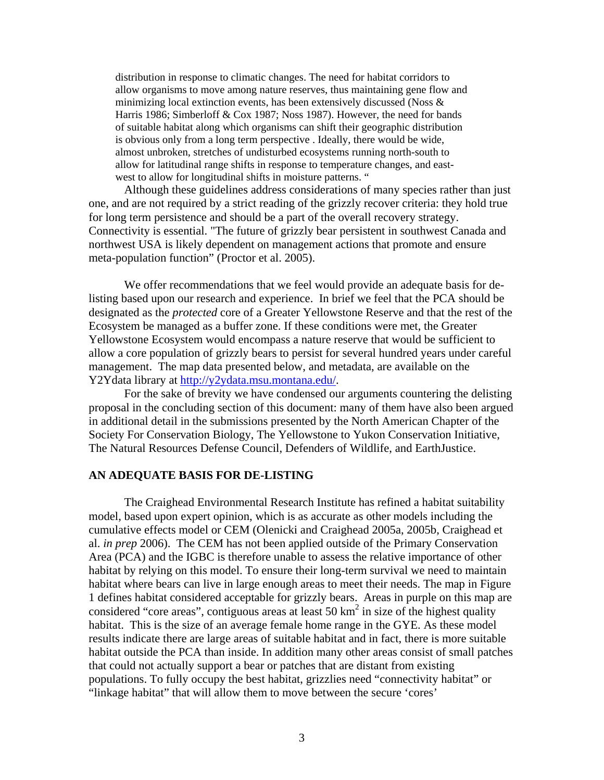distribution in response to climatic changes. The need for habitat corridors to allow organisms to move among nature reserves, thus maintaining gene flow and minimizing local extinction events, has been extensively discussed (Noss & Harris 1986; Simberloff & Cox 1987; Noss 1987). However, the need for bands of suitable habitat along which organisms can shift their geographic distribution is obvious only from a long term perspective . Ideally, there would be wide, almost unbroken, stretches of undisturbed ecosystems running north-south to allow for latitudinal range shifts in response to temperature changes, and eastwest to allow for longitudinal shifts in moisture patterns. "

Although these guidelines address considerations of many species rather than just one, and are not required by a strict reading of the grizzly recover criteria: they hold true for long term persistence and should be a part of the overall recovery strategy. Connectivity is essential. "The future of grizzly bear persistent in southwest Canada and northwest USA is likely dependent on management actions that promote and ensure meta-population function" (Proctor et al. 2005).

We offer recommendations that we feel would provide an adequate basis for delisting based upon our research and experience. In brief we feel that the PCA should be designated as the *protected* core of a Greater Yellowstone Reserve and that the rest of the Ecosystem be managed as a buffer zone. If these conditions were met, the Greater Yellowstone Ecosystem would encompass a nature reserve that would be sufficient to allow a core population of grizzly bears to persist for several hundred years under careful management. The map data presented below, and metadata, are available on the Y2Ydata library at [http://y2ydata.msu.montana.edu/.](http://y2ydata.msu.montana.edu/)

For the sake of brevity we have condensed our arguments countering the delisting proposal in the concluding section of this document: many of them have also been argued in additional detail in the submissions presented by the North American Chapter of the Society For Conservation Biology, The Yellowstone to Yukon Conservation Initiative, The Natural Resources Defense Council, Defenders of Wildlife, and EarthJustice.

### **AN ADEQUATE BASIS FOR DE-LISTING**

The Craighead Environmental Research Institute has refined a habitat suitability model, based upon expert opinion, which is as accurate as other models including the cumulative effects model or CEM (Olenicki and Craighead 2005a, 2005b, Craighead et al. *in prep* 2006). The CEM has not been applied outside of the Primary Conservation Area (PCA) and the IGBC is therefore unable to assess the relative importance of other habitat by relying on this model. To ensure their long-term survival we need to maintain habitat where bears can live in large enough areas to meet their needs. The map in Figure 1 defines habitat considered acceptable for grizzly bears. Areas in purple on this map are considered "core areas", contiguous areas at least 50 km<sup>2</sup> in size of the highest quality habitat. This is the size of an average female home range in the GYE. As these model results indicate there are large areas of suitable habitat and in fact, there is more suitable habitat outside the PCA than inside. In addition many other areas consist of small patches that could not actually support a bear or patches that are distant from existing populations. To fully occupy the best habitat, grizzlies need "connectivity habitat" or "linkage habitat" that will allow them to move between the secure 'cores'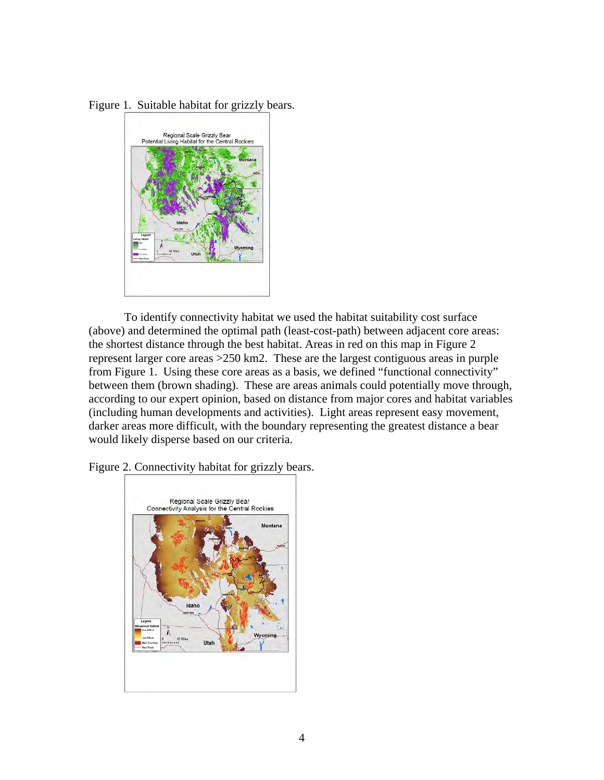



To identify connectivity habitat we used the habitat suitability cost surface (above) and determined the optimal path (least-cost-path) between adjacent core areas: the shortest distance through the best habitat. Areas in red on this map in Figure 2 represent larger core areas >250 km2. These are the largest contiguous areas in purple from Figure 1. Using these core areas as a basis, we defined "functional connectivity" between them (brown shading). These are areas animals could potentially move through, according to our expert opinion, based on distance from major cores and habitat variables (including human developments and activities). Light areas represent easy movement, darker areas more difficult, with the boundary representing the greatest distance a bear would likely disperse based on our criteria.

Figure 2. Connectivity habitat for grizzly bears.

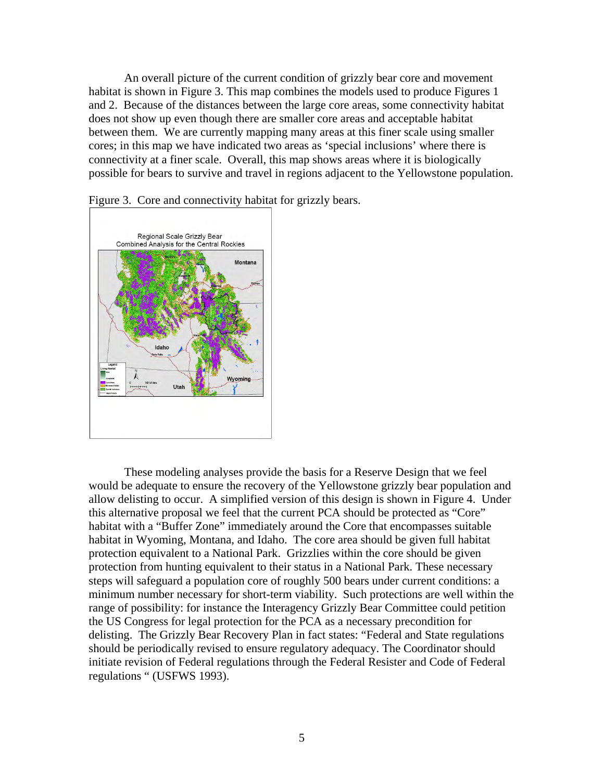An overall picture of the current condition of grizzly bear core and movement habitat is shown in Figure 3. This map combines the models used to produce Figures 1 and 2. Because of the distances between the large core areas, some connectivity habitat does not show up even though there are smaller core areas and acceptable habitat between them. We are currently mapping many areas at this finer scale using smaller cores; in this map we have indicated two areas as 'special inclusions' where there is connectivity at a finer scale. Overall, this map shows areas where it is biologically possible for bears to survive and travel in regions adjacent to the Yellowstone population.



Figure 3. Core and connectivity habitat for grizzly bears.

 These modeling analyses provide the basis for a Reserve Design that we feel would be adequate to ensure the recovery of the Yellowstone grizzly bear population and allow delisting to occur. A simplified version of this design is shown in Figure 4. Under this alternative proposal we feel that the current PCA should be protected as "Core" habitat with a "Buffer Zone" immediately around the Core that encompasses suitable habitat in Wyoming, Montana, and Idaho. The core area should be given full habitat protection equivalent to a National Park. Grizzlies within the core should be given protection from hunting equivalent to their status in a National Park. These necessary steps will safeguard a population core of roughly 500 bears under current conditions: a minimum number necessary for short-term viability. Such protections are well within the range of possibility: for instance the Interagency Grizzly Bear Committee could petition the US Congress for legal protection for the PCA as a necessary precondition for delisting. The Grizzly Bear Recovery Plan in fact states: "Federal and State regulations should be periodically revised to ensure regulatory adequacy. The Coordinator should initiate revision of Federal regulations through the Federal Resister and Code of Federal regulations " (USFWS 1993).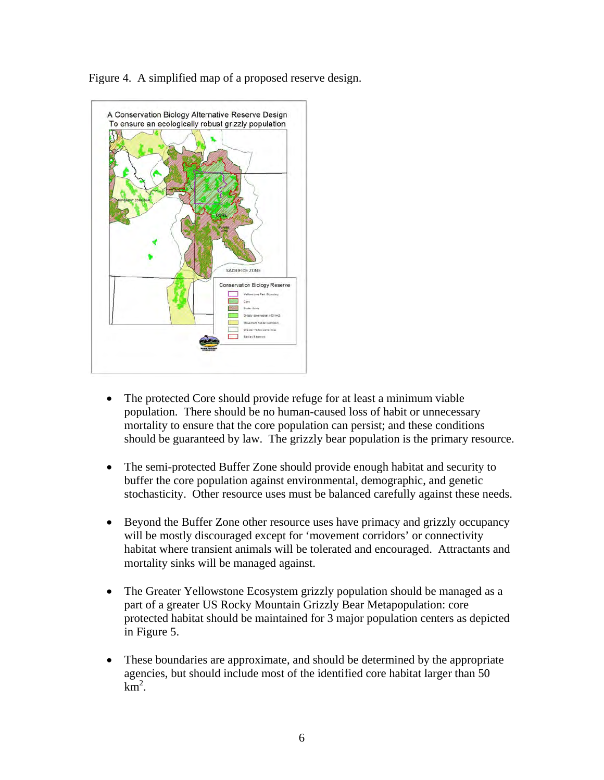Figure 4. A simplified map of a proposed reserve design.



- The protected Core should provide refuge for at least a minimum viable population. There should be no human-caused loss of habit or unnecessary mortality to ensure that the core population can persist; and these conditions should be guaranteed by law. The grizzly bear population is the primary resource.
- The semi-protected Buffer Zone should provide enough habitat and security to buffer the core population against environmental, demographic, and genetic stochasticity. Other resource uses must be balanced carefully against these needs.
- Beyond the Buffer Zone other resource uses have primacy and grizzly occupancy will be mostly discouraged except for 'movement corridors' or connectivity habitat where transient animals will be tolerated and encouraged. Attractants and mortality sinks will be managed against.
- The Greater Yellowstone Ecosystem grizzly population should be managed as a part of a greater US Rocky Mountain Grizzly Bear Metapopulation: core protected habitat should be maintained for 3 major population centers as depicted in Figure 5.
- These boundaries are approximate, and should be determined by the appropriate agencies, but should include most of the identified core habitat larger than 50  $km^2$ .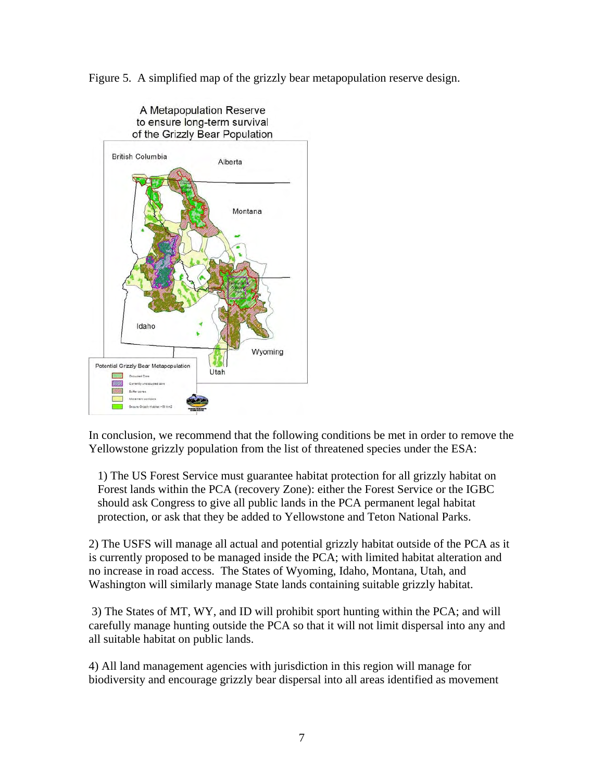Figure 5. A simplified map of the grizzly bear metapopulation reserve design.



In conclusion, we recommend that the following conditions be met in order to remove the Yellowstone grizzly population from the list of threatened species under the ESA:

1) The US Forest Service must guarantee habitat protection for all grizzly habitat on Forest lands within the PCA (recovery Zone): either the Forest Service or the IGBC should ask Congress to give all public lands in the PCA permanent legal habitat protection, or ask that they be added to Yellowstone and Teton National Parks.

2) The USFS will manage all actual and potential grizzly habitat outside of the PCA as it is currently proposed to be managed inside the PCA; with limited habitat alteration and no increase in road access. The States of Wyoming, Idaho, Montana, Utah, and Washington will similarly manage State lands containing suitable grizzly habitat.

 3) The States of MT, WY, and ID will prohibit sport hunting within the PCA; and will carefully manage hunting outside the PCA so that it will not limit dispersal into any and all suitable habitat on public lands.

4) All land management agencies with jurisdiction in this region will manage for biodiversity and encourage grizzly bear dispersal into all areas identified as movement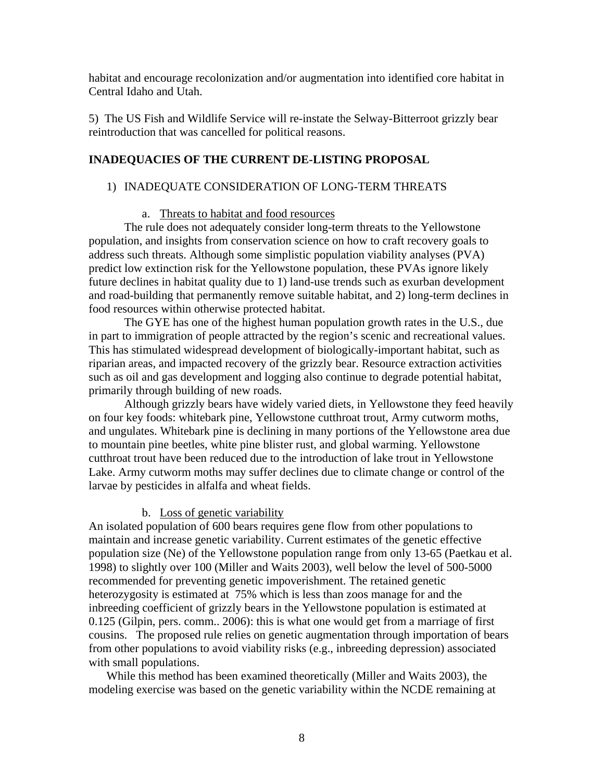habitat and encourage recolonization and/or augmentation into identified core habitat in Central Idaho and Utah.

5) The US Fish and Wildlife Service will re-instate the Selway-Bitterroot grizzly bear reintroduction that was cancelled for political reasons.

# **INADEQUACIES OF THE CURRENT DE-LISTING PROPOSAL**

# 1) INADEQUATE CONSIDERATION OF LONG-TERM THREATS

# a. Threats to habitat and food resources

The rule does not adequately consider long-term threats to the Yellowstone population, and insights from conservation science on how to craft recovery goals to address such threats. Although some simplistic population viability analyses (PVA) predict low extinction risk for the Yellowstone population, these PVAs ignore likely future declines in habitat quality due to 1) land-use trends such as exurban development and road-building that permanently remove suitable habitat, and 2) long-term declines in food resources within otherwise protected habitat.

 The GYE has one of the highest human population growth rates in the U.S., due in part to immigration of people attracted by the region's scenic and recreational values. This has stimulated widespread development of biologically-important habitat, such as riparian areas, and impacted recovery of the grizzly bear. Resource extraction activities such as oil and gas development and logging also continue to degrade potential habitat, primarily through building of new roads.

 Although grizzly bears have widely varied diets, in Yellowstone they feed heavily on four key foods: whitebark pine, Yellowstone cutthroat trout, Army cutworm moths, and ungulates. Whitebark pine is declining in many portions of the Yellowstone area due to mountain pine beetles, white pine blister rust, and global warming. Yellowstone cutthroat trout have been reduced due to the introduction of lake trout in Yellowstone Lake. Army cutworm moths may suffer declines due to climate change or control of the larvae by pesticides in alfalfa and wheat fields.

# b. Loss of genetic variability

An isolated population of 600 bears requires gene flow from other populations to maintain and increase genetic variability. Current estimates of the genetic effective population size (Ne) of the Yellowstone population range from only 13-65 (Paetkau et al. 1998) to slightly over 100 (Miller and Waits 2003), well below the level of 500-5000 recommended for preventing genetic impoverishment. The retained genetic heterozygosity is estimated at 75% which is less than zoos manage for and the inbreeding coefficient of grizzly bears in the Yellowstone population is estimated at 0.125 (Gilpin, pers. comm.. 2006): this is what one would get from a marriage of first cousins. The proposed rule relies on genetic augmentation through importation of bears from other populations to avoid viability risks (e.g., inbreeding depression) associated with small populations.

While this method has been examined theoretically (Miller and Waits 2003), the modeling exercise was based on the genetic variability within the NCDE remaining at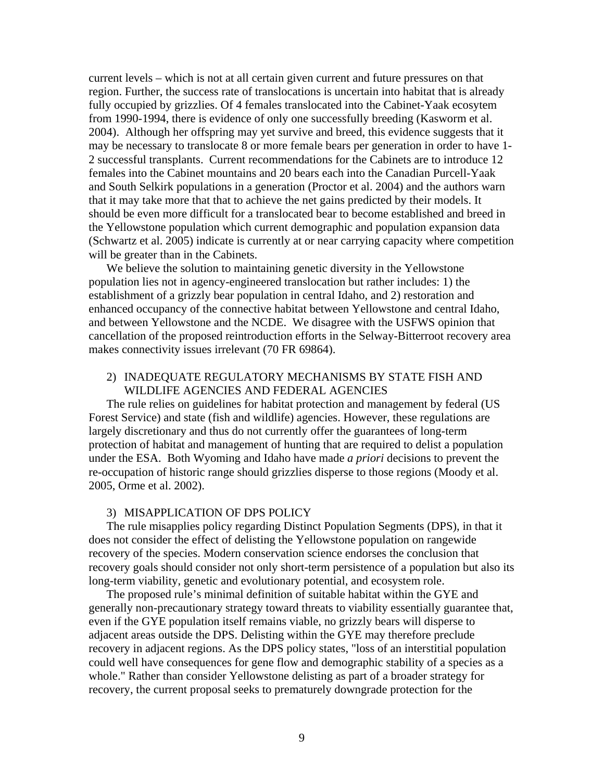current levels – which is not at all certain given current and future pressures on that region. Further, the success rate of translocations is uncertain into habitat that is already fully occupied by grizzlies. Of 4 females translocated into the Cabinet-Yaak ecosytem from 1990-1994, there is evidence of only one successfully breeding (Kasworm et al. 2004). Although her offspring may yet survive and breed, this evidence suggests that it may be necessary to translocate 8 or more female bears per generation in order to have 1- 2 successful transplants. Current recommendations for the Cabinets are to introduce 12 females into the Cabinet mountains and 20 bears each into the Canadian Purcell-Yaak and South Selkirk populations in a generation (Proctor et al. 2004) and the authors warn that it may take more that that to achieve the net gains predicted by their models. It should be even more difficult for a translocated bear to become established and breed in the Yellowstone population which current demographic and population expansion data (Schwartz et al. 2005) indicate is currently at or near carrying capacity where competition will be greater than in the Cabinets.

We believe the solution to maintaining genetic diversity in the Yellowstone population lies not in agency-engineered translocation but rather includes: 1) the establishment of a grizzly bear population in central Idaho, and 2) restoration and enhanced occupancy of the connective habitat between Yellowstone and central Idaho, and between Yellowstone and the NCDE. We disagree with the USFWS opinion that cancellation of the proposed reintroduction efforts in the Selway-Bitterroot recovery area makes connectivity issues irrelevant (70 FR 69864).

### 2) INADEQUATE REGULATORY MECHANISMS BY STATE FISH AND WILDLIFE AGENCIES AND FEDERAL AGENCIES

The rule relies on guidelines for habitat protection and management by federal (US Forest Service) and state (fish and wildlife) agencies. However, these regulations are largely discretionary and thus do not currently offer the guarantees of long-term protection of habitat and management of hunting that are required to delist a population under the ESA. Both Wyoming and Idaho have made *a priori* decisions to prevent the re-occupation of historic range should grizzlies disperse to those regions (Moody et al. 2005, Orme et al. 2002).

#### 3) MISAPPLICATION OF DPS POLICY

The rule misapplies policy regarding Distinct Population Segments (DPS), in that it does not consider the effect of delisting the Yellowstone population on rangewide recovery of the species. Modern conservation science endorses the conclusion that recovery goals should consider not only short-term persistence of a population but also its long-term viability, genetic and evolutionary potential, and ecosystem role.

The proposed rule's minimal definition of suitable habitat within the GYE and generally non-precautionary strategy toward threats to viability essentially guarantee that, even if the GYE population itself remains viable, no grizzly bears will disperse to adjacent areas outside the DPS. Delisting within the GYE may therefore preclude recovery in adjacent regions. As the DPS policy states, "loss of an interstitial population could well have consequences for gene flow and demographic stability of a species as a whole." Rather than consider Yellowstone delisting as part of a broader strategy for recovery, the current proposal seeks to prematurely downgrade protection for the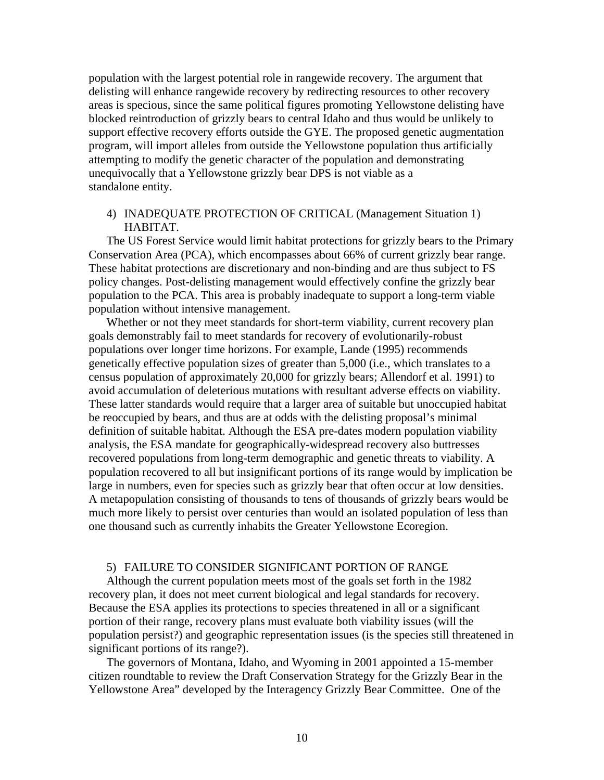population with the largest potential role in rangewide recovery. The argument that delisting will enhance rangewide recovery by redirecting resources to other recovery areas is specious, since the same political figures promoting Yellowstone delisting have blocked reintroduction of grizzly bears to central Idaho and thus would be unlikely to support effective recovery efforts outside the GYE. The proposed genetic augmentation program, will import alleles from outside the Yellowstone population thus artificially attempting to modify the genetic character of the population and demonstrating unequivocally that a Yellowstone grizzly bear DPS is not viable as a standalone entity.

### 4) INADEQUATE PROTECTION OF CRITICAL (Management Situation 1) HABITAT.

The US Forest Service would limit habitat protections for grizzly bears to the Primary Conservation Area (PCA), which encompasses about 66% of current grizzly bear range. These habitat protections are discretionary and non-binding and are thus subject to FS policy changes. Post-delisting management would effectively confine the grizzly bear population to the PCA. This area is probably inadequate to support a long-term viable population without intensive management.

Whether or not they meet standards for short-term viability, current recovery plan goals demonstrably fail to meet standards for recovery of evolutionarily-robust populations over longer time horizons. For example, Lande (1995) recommends genetically effective population sizes of greater than 5,000 (i.e., which translates to a census population of approximately 20,000 for grizzly bears; Allendorf et al. 1991) to avoid accumulation of deleterious mutations with resultant adverse effects on viability. These latter standards would require that a larger area of suitable but unoccupied habitat be reoccupied by bears, and thus are at odds with the delisting proposal's minimal definition of suitable habitat. Although the ESA pre-dates modern population viability analysis, the ESA mandate for geographically-widespread recovery also buttresses recovered populations from long-term demographic and genetic threats to viability. A population recovered to all but insignificant portions of its range would by implication be large in numbers, even for species such as grizzly bear that often occur at low densities. A metapopulation consisting of thousands to tens of thousands of grizzly bears would be much more likely to persist over centuries than would an isolated population of less than one thousand such as currently inhabits the Greater Yellowstone Ecoregion.

### 5) FAILURE TO CONSIDER SIGNIFICANT PORTION OF RANGE

Although the current population meets most of the goals set forth in the 1982 recovery plan, it does not meet current biological and legal standards for recovery. Because the ESA applies its protections to species threatened in all or a significant portion of their range, recovery plans must evaluate both viability issues (will the population persist?) and geographic representation issues (is the species still threatened in significant portions of its range?).

The governors of Montana, Idaho, and Wyoming in 2001 appointed a 15-member citizen roundtable to review the Draft Conservation Strategy for the Grizzly Bear in the Yellowstone Area" developed by the Interagency Grizzly Bear Committee. One of the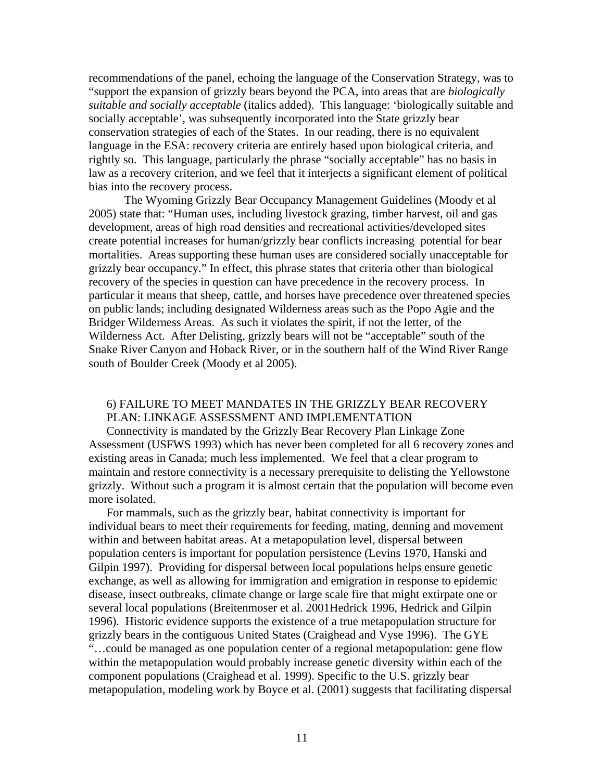recommendations of the panel, echoing the language of the Conservation Strategy, was to "support the expansion of grizzly bears beyond the PCA, into areas that are *biologically suitable and socially acceptable* (italics added). This language: 'biologically suitable and socially acceptable', was subsequently incorporated into the State grizzly bear conservation strategies of each of the States. In our reading, there is no equivalent language in the ESA: recovery criteria are entirely based upon biological criteria, and rightly so. This language, particularly the phrase "socially acceptable" has no basis in law as a recovery criterion, and we feel that it interjects a significant element of political bias into the recovery process.

The Wyoming Grizzly Bear Occupancy Management Guidelines (Moody et al 2005) state that: "Human uses, including livestock grazing, timber harvest, oil and gas development, areas of high road densities and recreational activities/developed sites create potential increases for human/grizzly bear conflicts increasing potential for bear mortalities. Areas supporting these human uses are considered socially unacceptable for grizzly bear occupancy." In effect, this phrase states that criteria other than biological recovery of the species in question can have precedence in the recovery process. In particular it means that sheep, cattle, and horses have precedence over threatened species on public lands; including designated Wilderness areas such as the Popo Agie and the Bridger Wilderness Areas. As such it violates the spirit, if not the letter, of the Wilderness Act. After Delisting, grizzly bears will not be "acceptable" south of the Snake River Canyon and Hoback River, or in the southern half of the Wind River Range south of Boulder Creek (Moody et al 2005).

# 6) FAILURE TO MEET MANDATES IN THE GRIZZLY BEAR RECOVERY PLAN: LINKAGE ASSESSMENT AND IMPLEMENTATION

Connectivity is mandated by the Grizzly Bear Recovery Plan Linkage Zone Assessment (USFWS 1993) which has never been completed for all 6 recovery zones and existing areas in Canada; much less implemented. We feel that a clear program to maintain and restore connectivity is a necessary prerequisite to delisting the Yellowstone grizzly. Without such a program it is almost certain that the population will become even more isolated.

For mammals, such as the grizzly bear, habitat connectivity is important for individual bears to meet their requirements for feeding, mating, denning and movement within and between habitat areas. At a metapopulation level, dispersal between population centers is important for population persistence (Levins 1970, Hanski and Gilpin 1997). Providing for dispersal between local populations helps ensure genetic exchange, as well as allowing for immigration and emigration in response to epidemic disease, insect outbreaks, climate change or large scale fire that might extirpate one or several local populations (Breitenmoser et al. 2001Hedrick 1996, Hedrick and Gilpin 1996). Historic evidence supports the existence of a true metapopulation structure for grizzly bears in the contiguous United States (Craighead and Vyse 1996). The GYE "…could be managed as one population center of a regional metapopulation: gene flow within the metapopulation would probably increase genetic diversity within each of the component populations (Craighead et al. 1999). Specific to the U.S. grizzly bear metapopulation, modeling work by Boyce et al. (2001) suggests that facilitating dispersal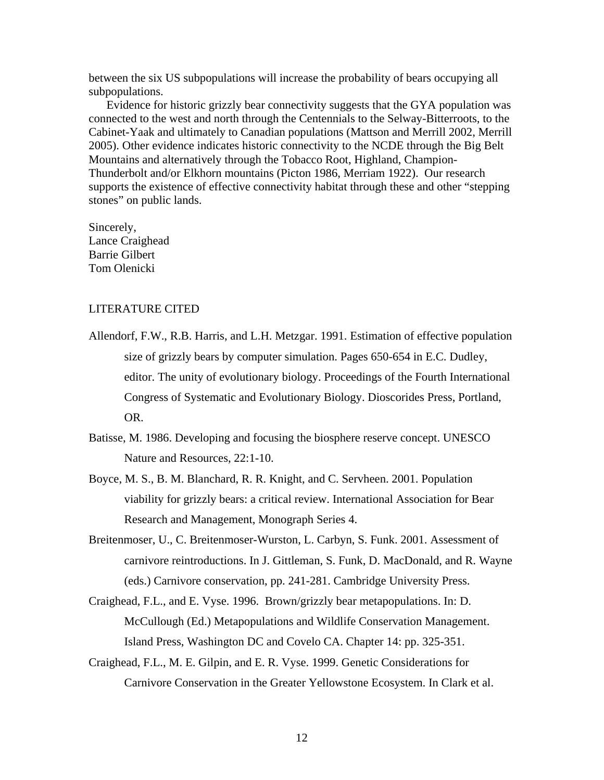between the six US subpopulations will increase the probability of bears occupying all subpopulations.

Evidence for historic grizzly bear connectivity suggests that the GYA population was connected to the west and north through the Centennials to the Selway-Bitterroots, to the Cabinet-Yaak and ultimately to Canadian populations (Mattson and Merrill 2002, Merrill 2005). Other evidence indicates historic connectivity to the NCDE through the Big Belt Mountains and alternatively through the Tobacco Root, Highland, Champion-Thunderbolt and/or Elkhorn mountains (Picton 1986, Merriam 1922). Our research supports the existence of effective connectivity habitat through these and other "stepping stones" on public lands.

Sincerely, Lance Craighead Barrie Gilbert Tom Olenicki

### LITERATURE CITED

- Allendorf, F.W., R.B. Harris, and L.H. Metzgar. 1991. Estimation of effective population size of grizzly bears by computer simulation. Pages 650-654 in E.C. Dudley, editor. The unity of evolutionary biology. Proceedings of the Fourth International Congress of Systematic and Evolutionary Biology. Dioscorides Press, Portland, OR.
- Batisse, M. 1986. Developing and focusing the biosphere reserve concept. UNESCO Nature and Resources, 22:1-10.
- Boyce, M. S., B. M. Blanchard, R. R. Knight, and C. Servheen. 2001. Population viability for grizzly bears: a critical review. International Association for Bear Research and Management, Monograph Series 4.
- Breitenmoser, U., C. Breitenmoser-Wurston, L. Carbyn, S. Funk. 2001. Assessment of carnivore reintroductions. In J. Gittleman, S. Funk, D. MacDonald, and R. Wayne (eds.) Carnivore conservation, pp. 241-281. Cambridge University Press.
- Craighead, F.L., and E. Vyse. 1996. Brown/grizzly bear metapopulations. In: D. McCullough (Ed.) Metapopulations and Wildlife Conservation Management. Island Press, Washington DC and Covelo CA. Chapter 14: pp. 325-351.
- Craighead, F.L., M. E. Gilpin, and E. R. Vyse. 1999. Genetic Considerations for Carnivore Conservation in the Greater Yellowstone Ecosystem. In Clark et al.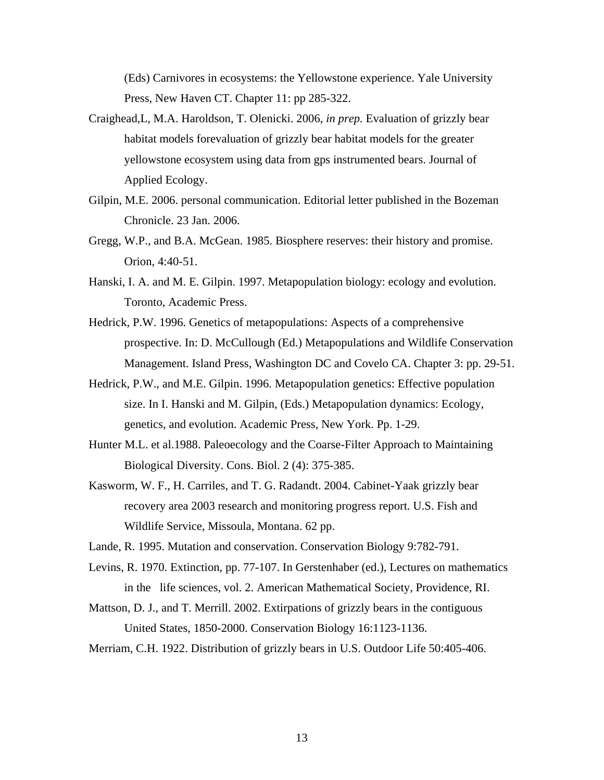(Eds) Carnivores in ecosystems: the Yellowstone experience. Yale University Press, New Haven CT. Chapter 11: pp 285-322.

- Craighead,L, M.A. Haroldson, T. Olenicki. 2006, *in prep.* Evaluation of grizzly bear habitat models forevaluation of grizzly bear habitat models for the greater yellowstone ecosystem using data from gps instrumented bears. Journal of Applied Ecology.
- Gilpin, M.E. 2006. personal communication. Editorial letter published in the Bozeman Chronicle. 23 Jan. 2006.
- Gregg, W.P., and B.A. McGean. 1985. Biosphere reserves: their history and promise. Orion, 4:40-51.
- Hanski, I. A. and M. E. Gilpin. 1997. Metapopulation biology: ecology and evolution. Toronto, Academic Press.
- Hedrick, P.W. 1996. Genetics of metapopulations: Aspects of a comprehensive prospective. In: D. McCullough (Ed.) Metapopulations and Wildlife Conservation Management. Island Press, Washington DC and Covelo CA. Chapter 3: pp. 29-51.
- Hedrick, P.W., and M.E. Gilpin. 1996. Metapopulation genetics: Effective population size. In I. Hanski and M. Gilpin, (Eds.) Metapopulation dynamics: Ecology, genetics, and evolution. Academic Press, New York. Pp. 1-29.
- Hunter M.L. et al.1988. Paleoecology and the Coarse-Filter Approach to Maintaining Biological Diversity. Cons. Biol. 2 (4): 375-385.
- Kasworm, W. F., H. Carriles, and T. G. Radandt. 2004. Cabinet-Yaak grizzly bear recovery area 2003 research and monitoring progress report. U.S. Fish and Wildlife Service, Missoula, Montana. 62 pp.

Lande, R. 1995. Mutation and conservation. Conservation Biology 9:782-791.

- Levins, R. 1970. Extinction, pp. 77-107. In Gerstenhaber (ed.), Lectures on mathematics in the life sciences, vol. 2. American Mathematical Society, Providence, RI.
- Mattson, D. J., and T. Merrill. 2002. Extirpations of grizzly bears in the contiguous United States, 1850-2000. Conservation Biology 16:1123-1136.

Merriam, C.H. 1922. Distribution of grizzly bears in U.S. Outdoor Life 50:405-406.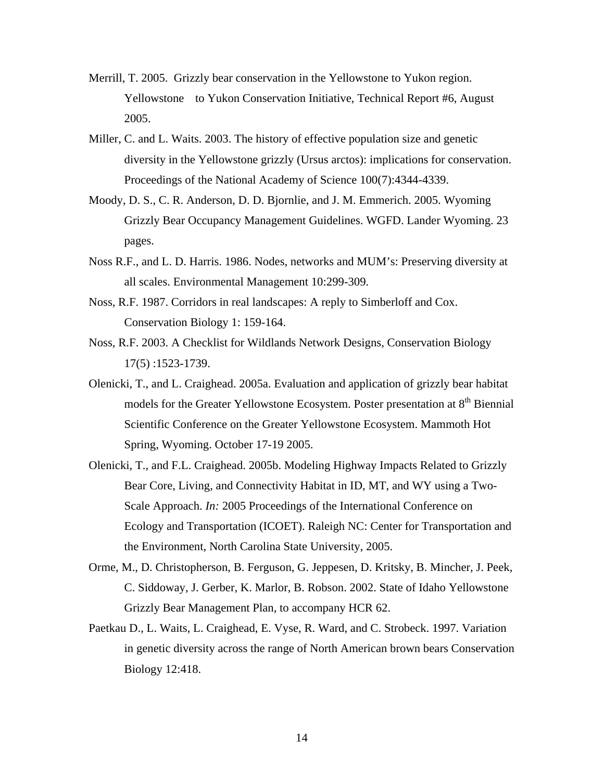- Merrill, T. 2005. Grizzly bear conservation in the Yellowstone to Yukon region. Yellowstone to Yukon Conservation Initiative, Technical Report #6, August 2005.
- Miller, C. and L. Waits. 2003. The history of effective population size and genetic diversity in the Yellowstone grizzly (Ursus arctos): implications for conservation. Proceedings of the National Academy of Science 100(7):4344-4339.
- Moody, D. S., C. R. Anderson, D. D. Bjornlie, and J. M. Emmerich. 2005. Wyoming Grizzly Bear Occupancy Management Guidelines. WGFD. Lander Wyoming. 23 pages.
- Noss R.F., and L. D. Harris. 1986. Nodes, networks and MUM's: Preserving diversity at all scales. Environmental Management 10:299-309.
- Noss, R.F. 1987. Corridors in real landscapes: A reply to Simberloff and Cox. Conservation Biology 1: 159-164.
- Noss, R.F. 2003. A Checklist for Wildlands Network Designs, Conservation Biology 17(5) :1523-1739.
- Olenicki, T., and L. Craighead. 2005a. Evaluation and application of grizzly bear habitat models for the Greater Yellowstone Ecosystem. Poster presentation at 8<sup>th</sup> Biennial Scientific Conference on the Greater Yellowstone Ecosystem. Mammoth Hot Spring, Wyoming. October 17-19 2005.
- Olenicki, T., and F.L. Craighead. 2005b. Modeling Highway Impacts Related to Grizzly Bear Core, Living, and Connectivity Habitat in ID, MT, and WY using a Two-Scale Approach. *In:* 2005 Proceedings of the International Conference on Ecology and Transportation (ICOET). Raleigh NC: Center for Transportation and the Environment, North Carolina State University, 2005.
- Orme, M., D. Christopherson, B. Ferguson, G. Jeppesen, D. Kritsky, B. Mincher, J. Peek, C. Siddoway, J. Gerber, K. Marlor, B. Robson. 2002. State of Idaho Yellowstone Grizzly Bear Management Plan, to accompany HCR 62.
- Paetkau D., L. Waits, L. Craighead, E. Vyse, R. Ward, and C. Strobeck. 1997. Variation in genetic diversity across the range of North American brown bears Conservation Biology 12:418.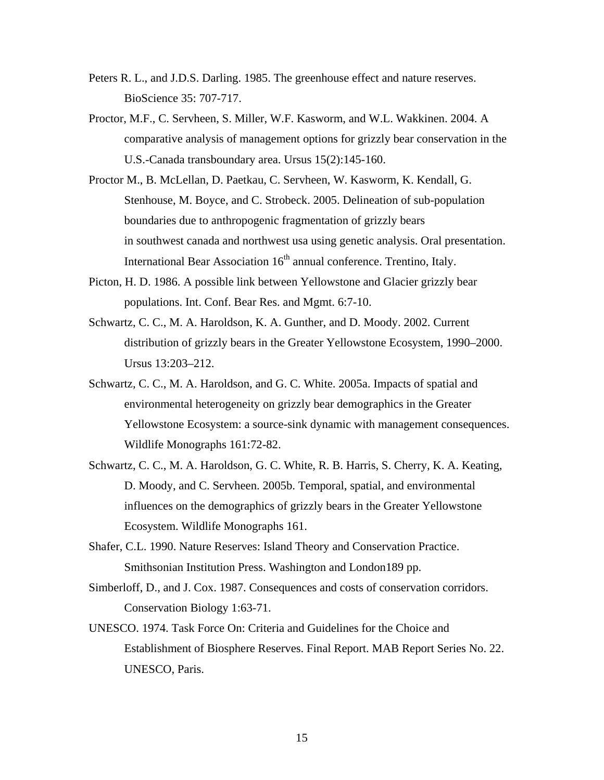- Peters R. L., and J.D.S. Darling. 1985. The greenhouse effect and nature reserves. BioScience 35: 707-717.
- Proctor, M.F., C. Servheen, S. Miller, W.F. Kasworm, and W.L. Wakkinen. 2004. A comparative analysis of management options for grizzly bear conservation in the U.S.-Canada transboundary area. Ursus 15(2):145-160.
- Proctor M., B. McLellan, D. Paetkau, C. Servheen, W. Kasworm, K. Kendall, G. Stenhouse, M. Boyce, and C. Strobeck. 2005. Delineation of sub-population boundaries due to anthropogenic fragmentation of grizzly bears in southwest canada and northwest usa using genetic analysis. Oral presentation. International Bear Association 16<sup>th</sup> annual conference. Trentino, Italy.
- Picton, H. D. 1986. A possible link between Yellowstone and Glacier grizzly bear populations. Int. Conf. Bear Res. and Mgmt. 6:7-10.
- Schwartz, C. C., M. A. Haroldson, K. A. Gunther, and D. Moody. 2002. Current distribution of grizzly bears in the Greater Yellowstone Ecosystem, 1990–2000. Ursus 13:203–212.
- Schwartz, C. C., M. A. Haroldson, and G. C. White. 2005a. Impacts of spatial and environmental heterogeneity on grizzly bear demographics in the Greater Yellowstone Ecosystem: a source-sink dynamic with management consequences. Wildlife Monographs 161:72-82.
- Schwartz, C. C., M. A. Haroldson, G. C. White, R. B. Harris, S. Cherry, K. A. Keating, D. Moody, and C. Servheen. 2005b. Temporal, spatial, and environmental influences on the demographics of grizzly bears in the Greater Yellowstone Ecosystem. Wildlife Monographs 161.
- Shafer, C.L. 1990. Nature Reserves: Island Theory and Conservation Practice. Smithsonian Institution Press. Washington and London189 pp.
- Simberloff, D., and J. Cox. 1987. Consequences and costs of conservation corridors. Conservation Biology 1:63-71.
- UNESCO. 1974. Task Force On: Criteria and Guidelines for the Choice and Establishment of Biosphere Reserves. Final Report. MAB Report Series No. 22. UNESCO, Paris.